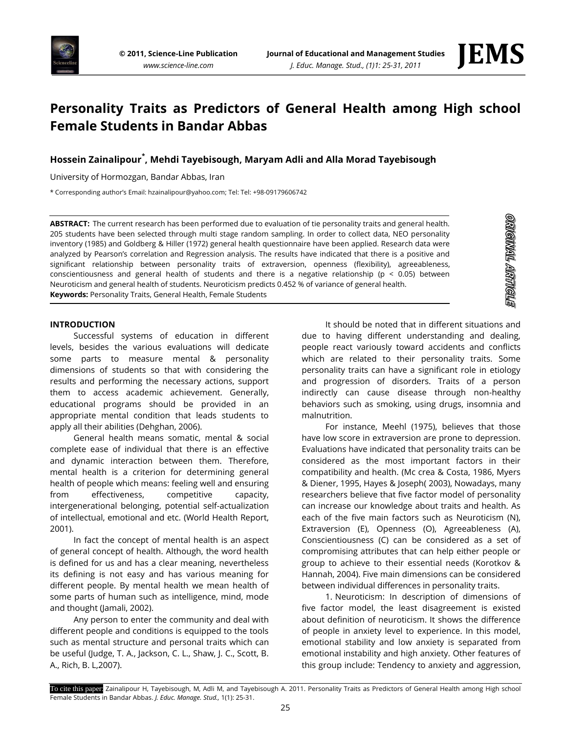

**ORMARL ARMARIS** 

# **Personality Traits as Predictors of General Health among High school Female Students in Bandar Abbas**

# **Hossein Zainalipour\* , Mehdi Tayebisough, Maryam Adli and Alla Morad Tayebisough**

University of Hormozgan, Bandar Abbas, Iran

\* Corresponding author's Email: hzainalipour@yahoo.com; Tel: Tel: +98-09179606742

**ABSTRACT:** The current research has been performed due to evaluation of tie personality traits and general health. 205 students have been selected through multi stage random sampling. In order to collect data, NEO personality inventory (1985) and Goldberg & Hiller (1972) general health questionnaire have been applied. Research data were analyzed by Pearson's correlation and Regression analysis. The results have indicated that there is a positive and significant relationship between personality traits of extraversion, openness (flexibility), agreeableness, conscientiousness and general health of students and there is a negative relationship ( $p < 0.05$ ) between Neuroticism and general health of students. Neuroticism predicts 0.452 % of variance of general health. **Keywords:** Personality Traits, General Health, Female Students

#### **INTRODUCTION**

Successful systems of education in different levels, besides the various evaluations will dedicate some parts to measure mental & personality dimensions of students so that with considering the results and performing the necessary actions, support them to access academic achievement. Generally, educational programs should be provided in an appropriate mental condition that leads students to apply all their abilities (Dehghan, 2006).

General health means somatic, mental & social complete ease of individual that there is an effective and dynamic interaction between them. Therefore, mental health is a criterion for determining general health of people which means: feeling well and ensuring from effectiveness, competitive capacity, intergenerational belonging, potential self-actualization of intellectual, emotional and etc. (World Health Report, 2001).

In fact the concept of mental health is an aspect of general concept of health. Although, the word health is defined for us and has a clear meaning, nevertheless its defining is not easy and has various meaning for different people. By mental health we mean health of some parts of human such as intelligence, mind, mode and thought (Jamali, 2002).

Any person to enter the community and deal with different people and conditions is equipped to the tools such as mental structure and personal traits which can be useful (Judge, T. A., Jackson, C. L., Shaw, J. C., Scott, B. A., Rich, B. L,2007).

It should be noted that in different situations and due to having different understanding and dealing, people react variously toward accidents and conflicts which are related to their personality traits. Some personality traits can have a significant role in etiology and progression of disorders. Traits of a person indirectly can cause disease through non-healthy behaviors such as smoking, using drugs, insomnia and malnutrition.

For instance, Meehl (1975), believes that those have low score in extraversion are prone to depression. Evaluations have indicated that personality traits can be considered as the most important factors in their compatibility and health. (Mc crea & Costa, 1986, Myers & Diener, 1995, Hayes & Joseph( 2003), Nowadays, many researchers believe that five factor model of personality can increase our knowledge about traits and health. As each of the five main factors such as Neuroticism (N), Extraversion (E), Openness (O), Agreeableness (A), Conscientiousness (C) can be considered as a set of compromising attributes that can help either people or group to achieve to their essential needs (Korotkov & Hannah, 2004). Five main dimensions can be considered between individual differences in personality traits.

1. Neuroticism: In description of dimensions of five factor model, the least disagreement is existed about definition of neuroticism. It shows the difference of people in anxiety level to experience. In this model, emotional stability and low anxiety is separated from emotional instability and high anxiety. Other features of this group include: Tendency to anxiety and aggression,

To cite this paper: Zainalipour H, Tayebisough, M, Adli M, and Tayebisough A. 2011. Personality Traits as Predictors of General Health among High school Female Students in Bandar Abbas. *J. Educ. Manage. Stud.,* 1(1): 25-31.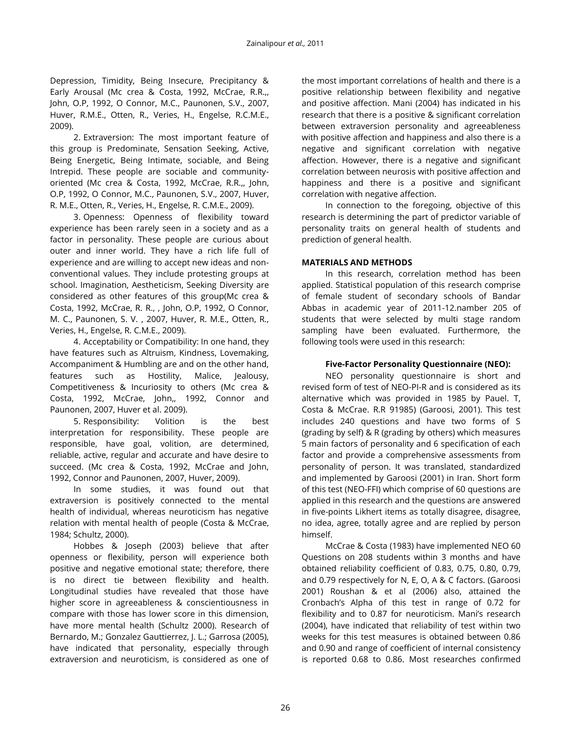Depression, Timidity, Being Insecure, Precipitancy & Early Arousal (Mc crea & Costa, 1992, McCrae, R.R.,, John, O.P, 1992, O Connor, M.C., Paunonen, S.V., 2007, Huver, R.M.E., Otten, R., Veries, H., Engelse, R.C.M.E., 2009).

2. Extraversion: The most important feature of this group is Predominate, Sensation Seeking, Active, Being Energetic, Being Intimate, sociable, and Being Intrepid. These people are sociable and communityoriented (Mc crea & Costa, 1992, McCrae, R.R.,, John, O.P, 1992, O Connor, M.C., Paunonen, S.V., 2007, Huver, R. M.E., Otten, R., Veries, H., Engelse, R. C.M.E., 2009).

3. Openness: Openness of flexibility toward experience has been rarely seen in a society and as a factor in personality. These people are curious about outer and inner world. They have a rich life full of experience and are willing to accept new ideas and nonconventional values. They include protesting groups at school. Imagination, [Aestheticism,](http://www.aftabir.com/dictionaries/word/154317/%D8%B2%DB%8C%D8%A8%D8%A7%DB%8C%DB%8C-%DA%AF%D8%B1%D8%A7%DB%8C%DB%8C-%D8%B2%DB%8C%D8%A8%D8%A7%DB%8C%DB%8C-%D9%BE%D8%B1%D8%B3%D8%AA%DB%8C-%D8%B9%D9%84%D8%A7%D9%82%D9%87-%D9%85%D9%86%D8%AF%DB%8C-%D8%A8%D9%87) Seeking Diversity are considered as other features of this group(Mc crea & Costa, 1992, McCrae, R. R., , John, O.P, 1992, O Connor, M. C., Paunonen, S. V. , 2007, Huver, R. M.E., Otten, R., Veries, H., Engelse, R. C.M.E., 2009).

4. Acceptability or Compatibility: In one hand, they have features such as Altruism, Kindness, Lovemaking, Accompaniment & Humbling are and on the other hand, features such as Hostility, Malice, Jealousy, Competitiveness & Incuriosity to others (Mc crea & Costa, 1992, McCrae, John,, 1992, Connor and Paunonen, 2007, Huver et al. 2009).

5. Responsibility: Volition is the best interpretation for responsibility. These people are responsible, have goal, volition, are determined, reliable, active, regular and accurate and have desire to succeed. (Mc crea & Costa, 1992, McCrae and John, 1992, Connor and Paunonen, 2007, Huver, 2009).

In some studies, it was found out that extraversion is positively connected to the mental health of individual, whereas neuroticism has negative relation with mental health of people (Costa & McCrae, 1984; Schultz, 2000).

Hobbes & Joseph (2003) believe that after openness or flexibility, person will experience both positive and negative emotional state; therefore, there is no direct tie between flexibility and health. Longitudinal studies have revealed that those have higher score in agreeableness & conscientiousness in compare with those has lower score in this dimension, have more mental health (Schultz 2000). Research of Bernardo, M.; Gonzalez Gauttierrez, J. L.; Garrosa (2005), have indicated that personality, especially through extraversion and neuroticism, is considered as one of the most important correlations of health and there is a positive relationship between flexibility and negative and positive affection. Mani (2004) has indicated in his research that there is a positive & significant correlation between extraversion personality and agreeableness with positive affection and happiness and also there is a negative and significant correlation with negative affection. However, there is a negative and significant correlation between neurosis with positive affection and happiness and there is a positive and significant correlation with negative affection.

In connection to the foregoing, objective of this research is determining the part of predictor variable of personality traits on general health of students and prediction of general health.

# **MATERIALS AND METHODS**

In this research, correlation method has been applied. Statistical population of this research comprise of female student of secondary schools of Bandar Abbas in academic year of 2011-12.namber 205 of students that were selected by multi stage random sampling have been evaluated. Furthermore, the following tools were used in this research:

## **Five-Factor Personality Questionnaire (NEO):**

NEO personality questionnaire is short and revised form of test of NEO-PI-R and is considered as its alternative which was provided in 1985 by Pauel. T, Costa & McCrae. R.R 91985) (Garoosi, 2001). This test includes 240 questions and have two forms of S (grading by self) & R (grading by others) which measures 5 main factors of personality and 6 specification of each factor and provide a comprehensive assessments from personality of person. It was translated, standardized and implemented by Garoosi (2001) in Iran. Short form of this test (NEO-FFI) which comprise of 60 questions are applied in this research and the questions are answered in five-points Likhert items as totally disagree, disagree, no idea, agree, totally agree and are replied by person himself.

McCrae & Costa (1983) have implemented NEO 60 Questions on 208 students within 3 months and have obtained reliability coefficient of 0.83, 0.75, 0.80, 0.79, and 0.79 respectively for N, E, O, A & C factors. (Garoosi 2001) Roushan & et al (2006) also, attained the Cronbach's Alpha of this test in range of 0.72 for flexibility and to 0.87 for neuroticism. Mani's research (2004), have indicated that reliability of test within two weeks for this test measures is obtained between 0.86 and 0.90 and range of coefficient of internal consistency is reported 0.68 to 0.86. Most researches confirmed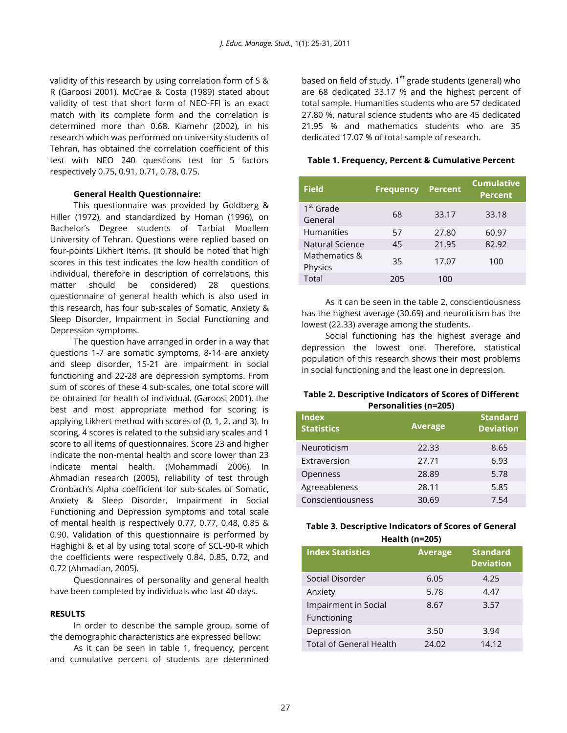validity of this research by using correlation form of S & R (Garoosi 2001). McCrae & Costa (1989) stated about validity of test that short form of NEO-FFI is an exact match with its complete form and the correlation is determined more than 0.68. Kiamehr (2002), in his research which was performed on university students of Tehran, has obtained the correlation coefficient of this test with NEO 240 questions test for 5 factors respectively 0.75, 0.91, 0.71, 0.78, 0.75.

#### **General Health Questionnaire:**

This questionnaire was provided by Goldberg & Hiller (1972), and standardized by Homan (1996), on Bachelor's Degree students of Tarbiat Moallem University of Tehran. Questions were replied based on four-points Likhert Items. (It should be noted that high scores in this test indicates the low health condition of individual, therefore in description of correlations, this matter should be considered) 28 questions questionnaire of general health which is also used in this research, has four sub-scales of Somatic, Anxiety & Sleep Disorder, Impairment in Social Functioning and Depression symptoms.

The question have arranged in order in a way that questions 1-7 are somatic symptoms, 8-14 are anxiety and sleep disorder, 15-21 are impairment in social functioning and 22-28 are depression symptoms. From sum of scores of these 4 sub-scales, one total score will be obtained for health of individual. (Garoosi 2001), the best and most appropriate method for scoring is applying Likhert method with scores of (0, 1, 2, and 3). In scoring, 4 scores is related to the subsidiary scales and 1 score to all items of questionnaires. Score 23 and higher indicate the non-mental health and score lower than 23 indicate mental health. (Mohammadi 2006), In Ahmadian research (2005), reliability of test through Cronbach's Alpha coefficient for sub-scales of Somatic, Anxiety & Sleep Disorder, Impairment in Social Functioning and Depression symptoms and total scale of mental health is respectively 0.77, 0.77, 0.48, 0.85 & 0.90. Validation of this questionnaire is performed by Haghighi & et al by using total score of SCL-90-R which the coefficients were respectively 0.84, 0.85, 0.72, and 0.72 (Ahmadian, 2005).

Questionnaires of personality and general health have been completed by individuals who last 40 days.

#### **RESULTS**

In order to describe the sample group, some of the demographic characteristics are expressed bellow:

As it can be seen in table 1, frequency, percent and cumulative percent of students are determined

based on field of study.  $1<sup>st</sup>$  grade students (general) who are 68 dedicated 33.17 % and the highest percent of total sample. Humanities students who are 57 dedicated 27.80 %, natural science students who are 45 dedicated 21.95 % and mathematics students who are 35 dedicated 17.07 % of total sample of research.

### **Table 1. Frequency, Percent & Cumulative Percent**

| <b>Field</b>                     | <b>Frequency</b> | <b>Percent</b> | <b>Cumulative</b><br><b>Percent</b> |
|----------------------------------|------------------|----------------|-------------------------------------|
| 1 <sup>st</sup> Grade<br>General | 68               | 33.17          | 33.18                               |
| <b>Humanities</b>                | 57               | 27.80          | 60.97                               |
| Natural Science                  | 45               | 21.95          | 82.92                               |
| Mathematics &<br>Physics         | 35               | 17.07          | 100                                 |
| Total                            | 205              | 100            |                                     |

As it can be seen in the table 2, conscientiousness has the highest average (30.69) and neuroticism has the lowest (22.33) average among the students.

Social functioning has the highest average and depression the lowest one. Therefore, statistical population of this research shows their most problems in social functioning and the least one in depression.

#### **Table 2. Descriptive Indicators of Scores of Different Personalities (n=205)**

| <b>Index</b><br><b>Statistics</b> | <b>Average</b> | <b>Standard</b><br><b>Deviation</b> |
|-----------------------------------|----------------|-------------------------------------|
| Neuroticism                       | 22.33          | 8.65                                |
| Extraversion                      | 27.71          | 6.93                                |
| Openness                          | 28.89          | 5.78                                |
| Agreeableness                     | 28.11          | 5.85                                |
| Conscientiousness                 | 30.69          | 7.54                                |

# **Table 3. Descriptive Indicators of Scores of General Health (n=205)**

| -----------------              |                |                                     |  |  |  |  |
|--------------------------------|----------------|-------------------------------------|--|--|--|--|
| <b>Index Statistics</b>        | <b>Average</b> | <b>Standard</b><br><b>Deviation</b> |  |  |  |  |
| Social Disorder                | 6.05           | 4.25                                |  |  |  |  |
| Anxiety                        | 5.78           | 4.47                                |  |  |  |  |
| Impairment in Social           | 8.67           | 3.57                                |  |  |  |  |
| Functioning                    |                |                                     |  |  |  |  |
| Depression                     | 3.50           | 3.94                                |  |  |  |  |
| <b>Total of General Health</b> | 24.02          | 14.12                               |  |  |  |  |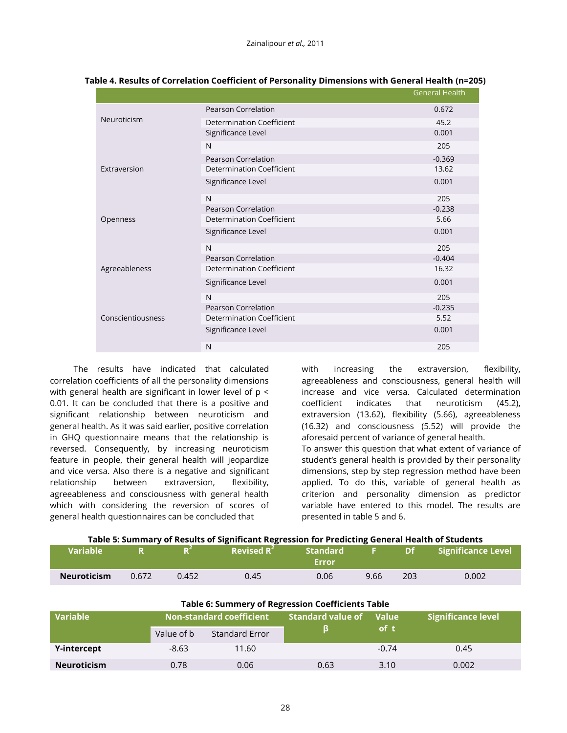|                   |                                  | <b>General Health</b> |
|-------------------|----------------------------------|-----------------------|
| Neuroticism       | <b>Pearson Correlation</b>       | 0.672                 |
|                   | Determination Coefficient        | 45.2                  |
|                   | Significance Level               | 0.001                 |
|                   | N                                | 205                   |
|                   | <b>Pearson Correlation</b>       | $-0.369$              |
| Extraversion      | <b>Determination Coefficient</b> | 13.62                 |
|                   | Significance Level               | 0.001                 |
|                   | N                                | 205                   |
|                   | <b>Pearson Correlation</b>       | $-0.238$              |
| Openness          | <b>Determination Coefficient</b> | 5.66                  |
|                   | Significance Level               | 0.001                 |
|                   | N                                | 205                   |
| Agreeableness     | Pearson Correlation              | $-0.404$              |
|                   | <b>Determination Coefficient</b> | 16.32                 |
|                   | Significance Level               | 0.001                 |
|                   | N                                | 205                   |
| Conscientiousness | Pearson Correlation              | $-0.235$              |
|                   | <b>Determination Coefficient</b> | 5.52                  |
|                   | Significance Level               | 0.001                 |
|                   | N                                | 205                   |

#### **Table 4. Results of Correlation Coefficient of Personality Dimensions with General Health (n=205)**

The results have indicated that calculated correlation coefficients of all the personality dimensions with general health are significant in lower level of p < 0.01. It can be concluded that there is a positive and significant relationship between neuroticism and general health. As it was said earlier, positive correlation in GHQ questionnaire means that the relationship is reversed. Consequently, by increasing neuroticism feature in people, their general health will jeopardize and vice versa. Also there is a negative and significant relationship between extraversion, flexibility, agreeableness and consciousness with general health which with considering the reversion of scores of general health questionnaires can be concluded that

with increasing the extraversion, flexibility, agreeableness and consciousness, general health will increase and vice versa. Calculated determination coefficient indicates that neuroticism (45.2), extraversion (13.62), flexibility (5.66), agreeableness (16.32) and consciousness (5.52) will provide the aforesaid percent of variance of general health.

To answer this question that what extent of variance of student's general health is provided by their personality dimensions, step by step regression method have been applied. To do this, variable of general health as criterion and personality dimension as predictor variable have entered to this model. The results are presented in table 5 and 6.

| <b>Wariable</b>    |       |       | Revised $R^2$ | <b>Standard</b><br>Error |      | $\blacktriangleright$ Df $\blacktriangleright$ | <b>Significance Level</b> |
|--------------------|-------|-------|---------------|--------------------------|------|------------------------------------------------|---------------------------|
| <b>Neuroticism</b> | 0.672 | 0.452 | 0.45          | 0.06                     | 9.66 | 203                                            | 0.002                     |

| <b>Table 6: Summery of Regression Coefficients Table</b> |                                 |                |                          |              |                    |
|----------------------------------------------------------|---------------------------------|----------------|--------------------------|--------------|--------------------|
| <b>Variable</b>                                          | <b>Non-standard coefficient</b> |                | <b>Standard value of</b> | <b>Value</b> | Significance level |
|                                                          | Value of b                      | Standard Error |                          | of t         |                    |
| Y-intercept                                              | $-8.63$                         | 11.60          |                          | $-0.74$      | 0.45               |
| <b>Neuroticism</b>                                       | 0.78                            | 0.06           | 0.63                     | 3.10         | 0.002              |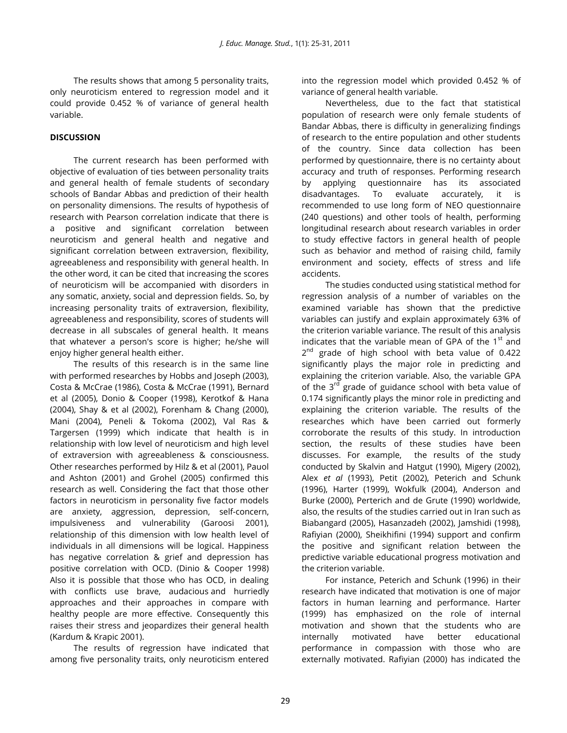The results shows that among 5 personality traits, only neuroticism entered to regression model and it could provide 0.452 % of variance of general health variable.

# **DISCUSSION**

The current research has been performed with objective of evaluation of ties between personality traits and general health of female students of secondary schools of Bandar Abbas and prediction of their health on personality dimensions. The results of hypothesis of research with Pearson correlation indicate that there is a positive and significant correlation between neuroticism and general health and negative and significant correlation between extraversion, flexibility, agreeableness and responsibility with general health. In the other word, it can be cited that increasing the scores of neuroticism will be accompanied with disorders in any somatic, anxiety, social and depression fields. So, by increasing personality traits of extraversion, flexibility, agreeableness and responsibility, scores of students will decrease in all subscales of general health. It means that whatever a person's score is higher; he/she will enjoy higher general health either.

The results of this research is in the same line with performed researches by Hobbs and Joseph (2003), Costa & McCrae (1986), Costa & McCrae (1991), Bernard et al (2005), Donio & Cooper (1998), Kerotkof & Hana (2004), Shay & et al (2002), Forenham & Chang (2000), Mani (2004), Peneli & Tokoma (2002), Val Ras & Targersen (1999) which indicate that health is in relationship with low level of neuroticism and high level of extraversion with agreeableness & consciousness. Other researches performed by Hilz & et al (2001), Pauol and Ashton (2001) and Grohel (2005) confirmed this research as well. Considering the fact that those other factors in neuroticism in personality five factor models are anxiety, aggression, depression, self-concern, impulsiveness and vulnerability (Garoosi 2001), relationship of this dimension with low health level of individuals in all dimensions will be logical. Happiness has negative correlation & grief and depression has positive correlation with OCD. (Dinio & Cooper 1998) Also it is possible that those who has OCD, in dealing with conflicts use brave, audacious and hurriedly approaches and their approaches in compare with healthy people are more effective. Consequently this raises their stress and jeopardizes their general health (Kardum & Krapic 2001).

The results of regression have indicated that among five personality traits, only neuroticism entered

into the regression model which provided 0.452 % of variance of general health variable.

Nevertheless, due to the fact that statistical population of research were only female students of Bandar Abbas, there is difficulty in generalizing findings of research to the entire population and other students of the country. Since data collection has been performed by questionnaire, there is no certainty about accuracy and truth of responses. Performing research by applying questionnaire has its associated disadvantages. To evaluate accurately, it is recommended to use long form of NEO questionnaire (240 questions) and other tools of health, performing longitudinal research about research variables in order to study effective factors in general health of people such as behavior and method of raising child, family environment and society, effects of stress and life accidents.

The studies conducted using statistical method for regression analysis of a number of variables on the examined variable has shown that the predictive variables can justify and explain approximately 63% of the criterion variable variance. The result of this analysis indicates that the variable mean of GPA of the  $1<sup>st</sup>$  and 2<sup>nd</sup> grade of high school with beta value of 0.422 significantly plays the major role in predicting and explaining the criterion variable. Also, the variable GPA of the 3<sup>rd</sup> grade of guidance school with beta value of 0.174 significantly plays the minor role in predicting and explaining the criterion variable. The results of the researches which have been carried out formerly corroborate the results of this study. In introduction section, the results of these studies have been discusses. For example, the results of the study conducted by Skalvin and Hatgut (1990), Migery (2002), Alex *et al* (1993), Petit (2002), Peterich and Schunk (1996), Harter (1999), Wokfulk (2004), Anderson and Burke (2000), Perterich and de Grute (1990) worldwide, also, the results of the studies carried out in Iran such as Biabangard (2005), Hasanzadeh (2002), Jamshidi (1998), Rafiyian (2000), Sheikhifini (1994) support and confirm the positive and significant relation between the predictive variable educational progress motivation and the criterion variable.

For instance, Peterich and Schunk (1996) in their research have indicated that motivation is one of major factors in human learning and performance. Harter (1999) has emphasized on the role of internal motivation and shown that the students who are internally motivated have better educational performance in compassion with those who are externally motivated. Rafiyian (2000) has indicated the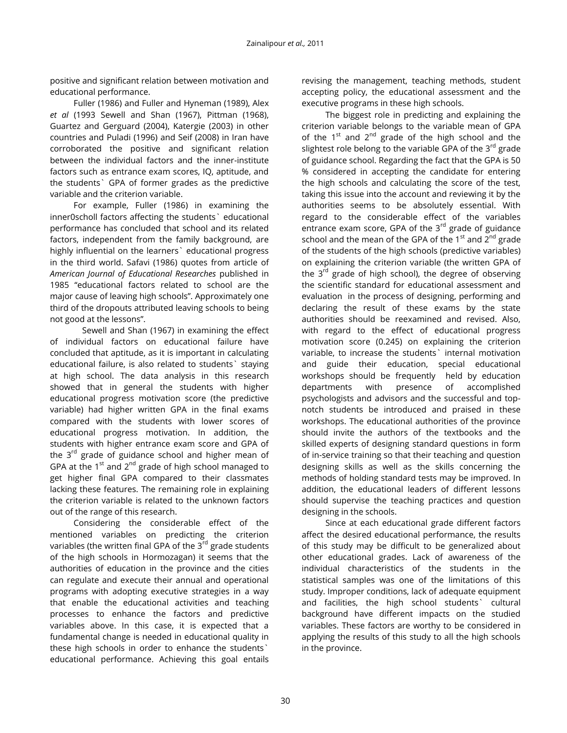positive and significant relation between motivation and educational performance.

Fuller (1986) and Fuller and Hyneman (1989), Alex *et al* (1993 Sewell and Shan (1967), Pittman (1968), Guartez and Gerguard (2004), Katergie (2003) in other countries and Puladi (1996) and Seif (2008) in Iran have corroborated the positive and significant relation between the individual factors and the inner-institute factors such as entrance exam scores, IQ, aptitude, and the students` GPA of former grades as the predictive variable and the criterion variable.

For example, Fuller (1986) in examining the inner0scholl factors affecting the students` educational performance has concluded that school and its related factors, independent from the family background, are highly influential on the learners` educational progress in the third world. Safavi (1986) quotes from article of *American Journal of Educational Researches* published in 1985 "educational factors related to school are the major cause of leaving high schools". Approximately one third of the dropouts attributed leaving schools to being not good at the lessons".

 Sewell and Shan (1967) in examining the effect of individual factors on educational failure have concluded that aptitude, as it is important in calculating educational failure, is also related to students` staying at high school. The data analysis in this research showed that in general the students with higher educational progress motivation score (the predictive variable) had higher written GPA in the final exams compared with the students with lower scores of educational progress motivation. In addition, the students with higher entrance exam score and GPA of the  $3<sup>rd</sup>$  grade of guidance school and higher mean of GPA at the  $1<sup>st</sup>$  and  $2<sup>nd</sup>$  grade of high school managed to get higher final GPA compared to their classmates lacking these features. The remaining role in explaining the criterion variable is related to the unknown factors out of the range of this research.

Considering the considerable effect of the mentioned variables on predicting the criterion variables (the written final GPA of the 3<sup>rd</sup> grade students of the high schools in Hormozagan) it seems that the authorities of education in the province and the cities can regulate and execute their annual and operational programs with adopting executive strategies in a way that enable the educational activities and teaching processes to enhance the factors and predictive variables above. In this case, it is expected that a fundamental change is needed in educational quality in these high schools in order to enhance the students` educational performance. Achieving this goal entails revising the management, teaching methods, student accepting policy, the educational assessment and the executive programs in these high schools.

The biggest role in predicting and explaining the criterion variable belongs to the variable mean of GPA of the  $1^{st}$  and  $2^{nd}$  grade of the high school and the slightest role belong to the variable GPA of the 3<sup>rd</sup> grade of guidance school. Regarding the fact that the GPA is 50 % considered in accepting the candidate for entering the high schools and calculating the score of the test, taking this issue into the account and reviewing it by the authorities seems to be absolutely essential. With regard to the considerable effect of the variables entrance exam score, GPA of the  $3<sup>rd</sup>$  grade of guidance school and the mean of the GPA of the  $1<sup>st</sup>$  and  $2<sup>nd</sup>$  grade of the students of the high schools (predictive variables) on explaining the criterion variable (the written GPA of the  $3<sup>rd</sup>$  grade of high school), the degree of observing the scientific standard for educational assessment and evaluation in the process of designing, performing and declaring the result of these exams by the state authorities should be reexamined and revised. Also, with regard to the effect of educational progress motivation score (0.245) on explaining the criterion variable, to increase the students` internal motivation and guide their education, special educational workshops should be frequently held by education departments with presence of accomplished psychologists and advisors and the successful and topnotch students be introduced and praised in these workshops. The educational authorities of the province should invite the authors of the textbooks and the skilled experts of designing standard questions in form of in-service training so that their teaching and question designing skills as well as the skills concerning the methods of holding standard tests may be improved. In addition, the educational leaders of different lessons should supervise the teaching practices and question designing in the schools.

Since at each educational grade different factors affect the desired educational performance, the results of this study may be difficult to be generalized about other educational grades. Lack of awareness of the individual characteristics of the students in the statistical samples was one of the limitations of this study. Improper conditions, lack of adequate equipment and facilities, the high school students` cultural background have different impacts on the studied variables. These factors are worthy to be considered in applying the results of this study to all the high schools in the province.